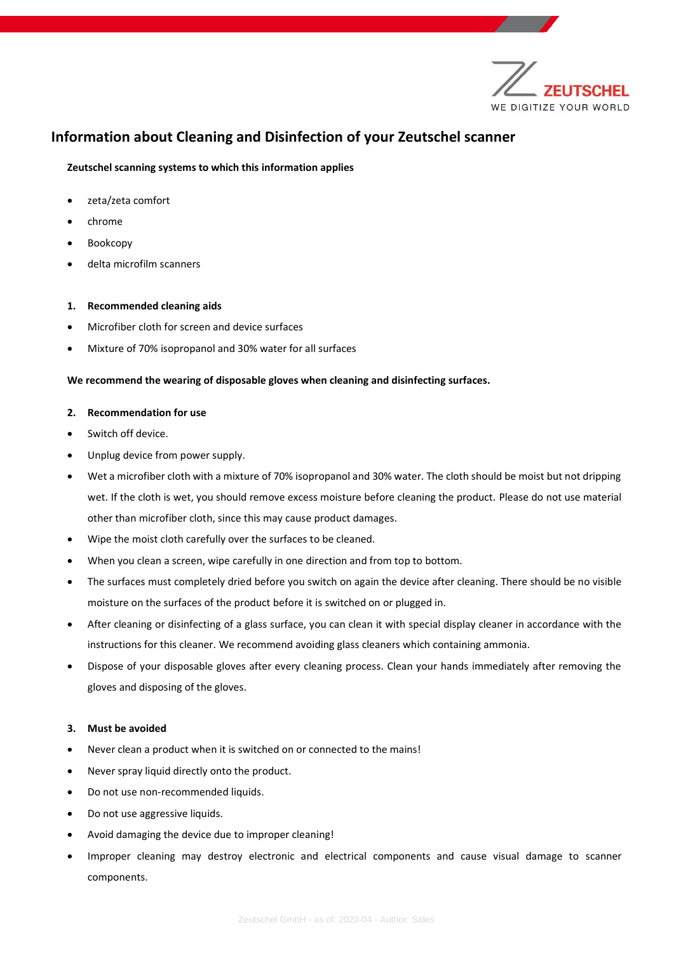

# **Information about Cleaning and Disinfection of your Zeutschel scanner**

## **Zeutschel scanning systems to which this information applies**

- zeta/zeta comfort
- chrome
- Bookcopy
- delta microfilm scanners

#### **1. Recommended cleaning aids**

- Microfiber cloth for screen and device surfaces
- Mixture of 70% isopropanol and 30% water for all surfaces

### **We recommend the wearing of disposable gloves when cleaning and disinfecting surfaces.**

#### **2. Recommendation for use**

- Switch off device.
- Unplug device from power supply.
- Wet a microfiber cloth with a mixture of 70% isopropanol and 30% water. The cloth should be moist but not dripping wet. If the cloth is wet, you should remove excess moisture before cleaning the product. Please do not use material other than microfiber cloth, since this may cause product damages.
- Wipe the moist cloth carefully over the surfaces to be cleaned.
- When you clean a screen, wipe carefully in one direction and from top to bottom.
- The surfaces must completely dried before you switch on again the device after cleaning. There should be no visible moisture on the surfaces of the product before it is switched on or plugged in.
- After cleaning or disinfecting of a glass surface, you can clean it with special display cleaner in accordance with the instructions for this cleaner. We recommend avoiding glass cleaners which containing ammonia.
- Dispose of your disposable gloves after every cleaning process. Clean your hands immediately after removing the gloves and disposing of the gloves.

#### **3. Must be avoided**

- Never clean a product when it is switched on or connected to the mains!
- Never spray liquid directly onto the product.
- Do not use non-recommended liquids.
- Do not use aggressive liquids.
- Avoid damaging the device due to improper cleaning!
- Improper cleaning may destroy electronic and electrical components and cause visual damage to scanner components.